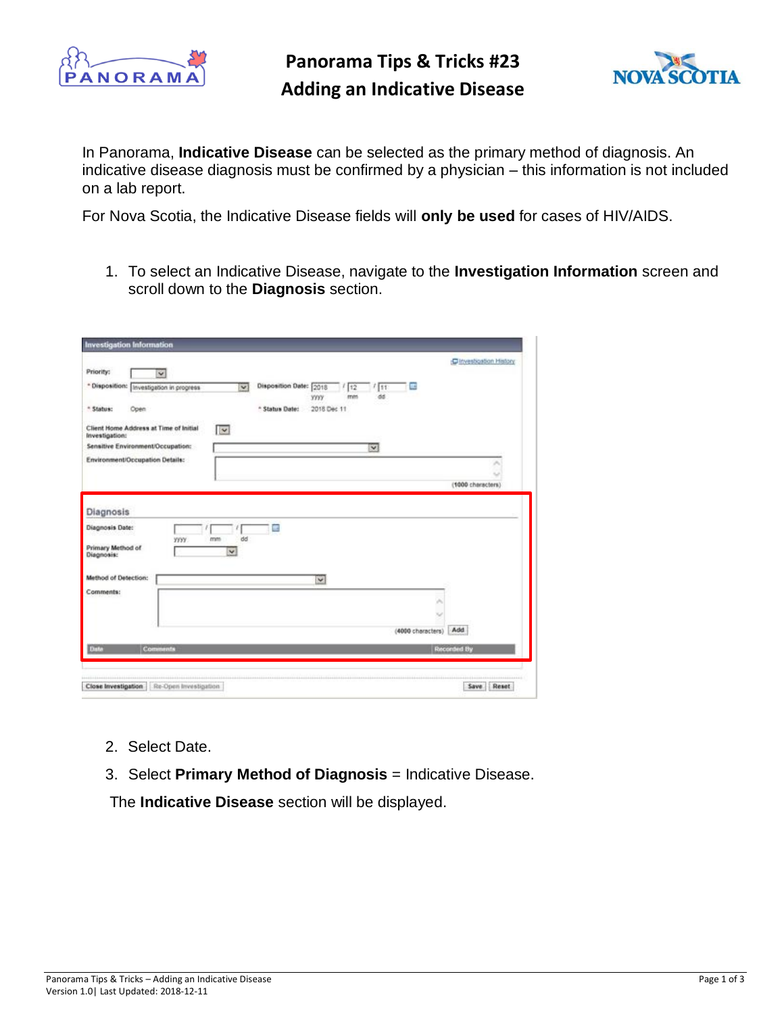

## **Panorama Tips & Tricks #23 Adding an Indicative Disease**



In Panorama, **Indicative Disease** can be selected as the primary method of diagnosis. An indicative disease diagnosis must be confirmed by a physician – this information is not included on a lab report.

For Nova Scotia, the Indicative Disease fields will **only be used** for cases of HIV/AIDS.

1. To select an Indicative Disease, navigate to the **Investigation Information** screen and scroll down to the **Diagnosis** section.

| Priority:                                                                    | $\checkmark$              |                   |                            |                        |                           |           |                          | C Investigation History |
|------------------------------------------------------------------------------|---------------------------|-------------------|----------------------------|------------------------|---------------------------|-----------|--------------------------|-------------------------|
| * Disposition:                                                               | Investigation in progress |                   | $\overline{\mathbf{v}}$    | Disposition Date: 2018 | 1112<br>mm<br><b>YYYY</b> | 111<br>dd | $\overline{\phantom{a}}$ |                         |
| * Status:                                                                    | Open                      |                   |                            | * Status Date:         | 2018 Dec 11               |           |                          |                         |
| Client Home Address at Time of Initial<br>Investigation:                     |                           |                   | $\overline{\mathbf{v}}$    |                        |                           |           |                          |                         |
| Sensitive Environment/Occupation:                                            |                           |                   |                            |                        |                           | ⋥         |                          |                         |
| Environment/Occupation Details:                                              |                           |                   |                            |                        |                           |           |                          | ×                       |
|                                                                              |                           |                   |                            |                        |                           |           |                          | (1000 characters)       |
|                                                                              |                           |                   |                            |                        |                           |           |                          |                         |
|                                                                              |                           | mm<br><b>YYYY</b> | dd<br>$\blacktriangledown$ |                        |                           |           |                          |                         |
|                                                                              |                           |                   |                            |                        | V                         |           |                          |                         |
|                                                                              |                           |                   |                            |                        |                           |           |                          |                         |
|                                                                              |                           |                   |                            |                        |                           |           |                          |                         |
|                                                                              |                           |                   |                            |                        |                           |           | (4000 characters)        | Add                     |
| Primary Method of<br>Diagnosis:<br>Method of Detection:<br>Comments:<br>Date | Comments                  |                   |                            |                        |                           |           |                          | <b>Recorded By</b>      |
|                                                                              |                           |                   |                            |                        |                           |           |                          |                         |

- 2. Select Date.
- 3. Select **Primary Method of Diagnosis** = Indicative Disease.

The **Indicative Disease** section will be displayed.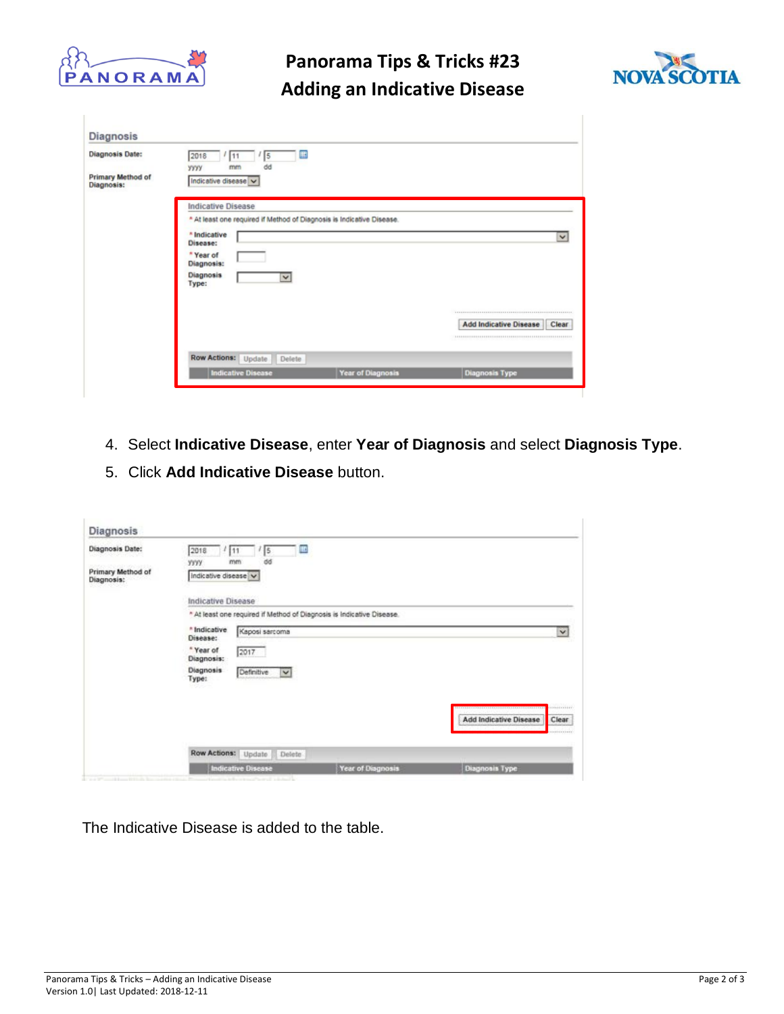

## **Panorama Tips & Tricks #23 Adding an Indicative Disease**



| <b>Diagnosis Date:</b>          | 讍<br>2018<br>5<br>11<br>dd<br>mm<br><b>YYYY</b>                       |                          |                                        |  |  |  |
|---------------------------------|-----------------------------------------------------------------------|--------------------------|----------------------------------------|--|--|--|
| Primary Method of<br>Diagnosis: | Indicative disease v                                                  |                          |                                        |  |  |  |
|                                 | <b>Indicative Disease</b>                                             |                          |                                        |  |  |  |
|                                 | * At least one required if Method of Diagnosis is Indicative Disease. |                          |                                        |  |  |  |
|                                 | * Indicative<br>Disease:                                              |                          | $\checkmark$                           |  |  |  |
|                                 | * Year of<br>Diagnosis:                                               |                          |                                        |  |  |  |
|                                 | <b>Diagnosis</b><br>V<br>Type:                                        |                          |                                        |  |  |  |
|                                 |                                                                       |                          |                                        |  |  |  |
|                                 |                                                                       |                          | <b>Add Indicative Disease</b><br>Clear |  |  |  |
|                                 | Row Actions: Update<br>Delete                                         |                          |                                        |  |  |  |
|                                 | <b>Indicative Disease</b>                                             | <b>Year of Diagnosis</b> | <b>Diagnosis Type</b>                  |  |  |  |

- 4. Select **Indicative Disease**, enter **Year of Diagnosis** and select **Diagnosis Type**.
- 5. Click **Add Indicative Disease** button.

| Diagnosis Date:                 | 2018<br> 5<br>ш<br>111<br>dd<br>yyyy.<br>mm                           |                                                                                        |
|---------------------------------|-----------------------------------------------------------------------|----------------------------------------------------------------------------------------|
| Primary Method of<br>Diagnosis: | Indicative disease v                                                  |                                                                                        |
|                                 | Indicative Disease                                                    |                                                                                        |
|                                 | * At least one required if Method of Diagnosis is Indicative Disease. |                                                                                        |
|                                 | * Indicative<br>Kaposi sarcoma<br>Disease:                            | $\checkmark$                                                                           |
|                                 | * Year of<br>2017<br>Diagnosis:                                       |                                                                                        |
|                                 | Diagnosis<br>Definitive<br>$\mathbf{v}$<br>Type:                      |                                                                                        |
|                                 | ---                                                                   |                                                                                        |
|                                 |                                                                       | -----------<br>810110110110110110110110110111111111<br>Add Indicative Disease<br>Clear |
|                                 |                                                                       | <b>KOLESSON</b>                                                                        |
|                                 | Row Actions:<br>Update<br>Delete                                      |                                                                                        |
|                                 | <b>Indicative Disease</b><br>Year of Diagnosis                        | Diagnosis Type                                                                         |

The Indicative Disease is added to the table.